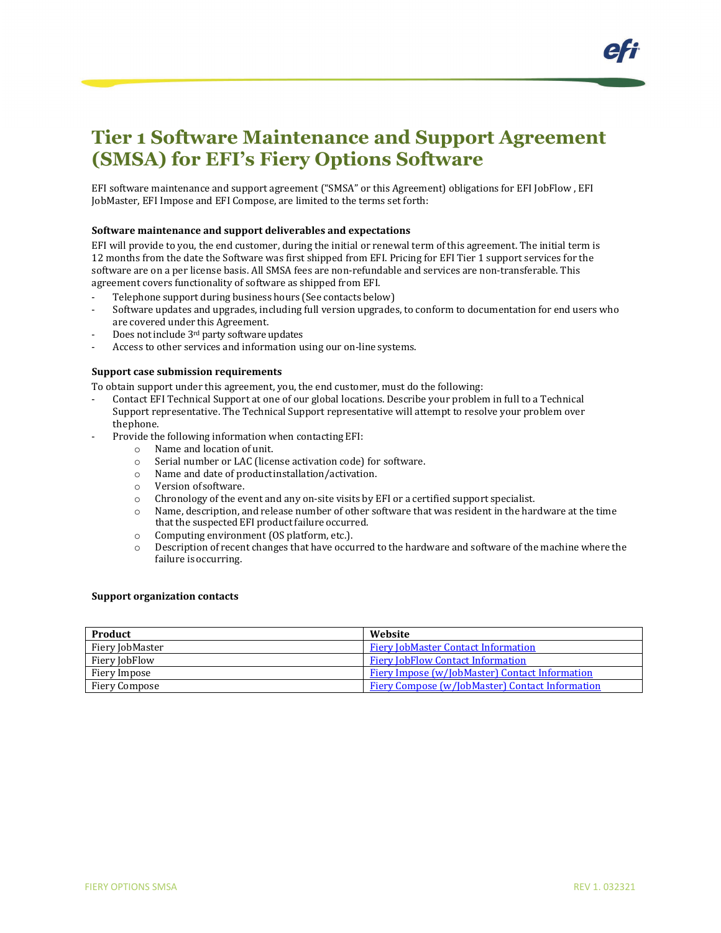EFI software maintenance and support agreement ("SMSA" or this Agreement) obligations for EFI JobFlow , EFI JobMaster, EFI Impose and EFI Compose, are limited to the terms set forth:

### **Software maintenance and support deliverables and expectations**

EFI will provide to you, the end customer, during the initial or renewal term of this agreement. The initial term is 12 months from the date the Software was first shipped from EFI. Pricing for EFI Tier 1 support services for the software are on a per license basis. All SMSA fees are non-refundable and services are non-transferable. This agreement covers functionality of software as shipped from EFI.

- Telephone support during business hours (See contacts below)
- Software updates and upgrades, including full version upgrades, to conform to documentation for end users who are covered under this Agreement.
- Does not include 3<sup>rd</sup> party software updates
- Access to other services and information using our on-line systems.

#### **Support case submission requirements**

To obtain support under this agreement, you, the end customer, must do the following:

- Contact EFI Technical Support at one of our global locations. Describe your problem in full to a Technical Support representative. The Technical Support representative will attempt to resolve your problem over thephone.
- Provide the following information when contacting EFI:
	- o Name and location of unit.<br>
	o Serial number or LAC (lice)
	- Serial number or LAC (license activation code) for software.
	- o Name and date of productinstallation/activation.
	- o Version ofsoftware.
	- o Chronology of the event and any on-site visits by EFI or a certified support specialist.
	- o Name, description, and release number of other software that was resident in the hardware at the time that the suspected EFI product failure occurred.
	- $\circ$  Computing environment (OS platform, etc.).<br>  $\circ$  Description of recent changes that have occu
	- Description of recent changes that have occurred to the hardware and software of the machine where the failure is occurring.

#### **Support organization contacts**

| Product         | Website                                                |
|-----------------|--------------------------------------------------------|
| Fiery JobMaster | <b>Fiery JobMaster Contact Information</b>             |
| Fiery JobFlow   | <b>Fiery JobFlow Contact Information</b>               |
| Fiery Impose    | Fiery Impose (w/JobMaster) Contact Information         |
| Fiery Compose   | <b>Fiery Compose (w/JobMaster) Contact Information</b> |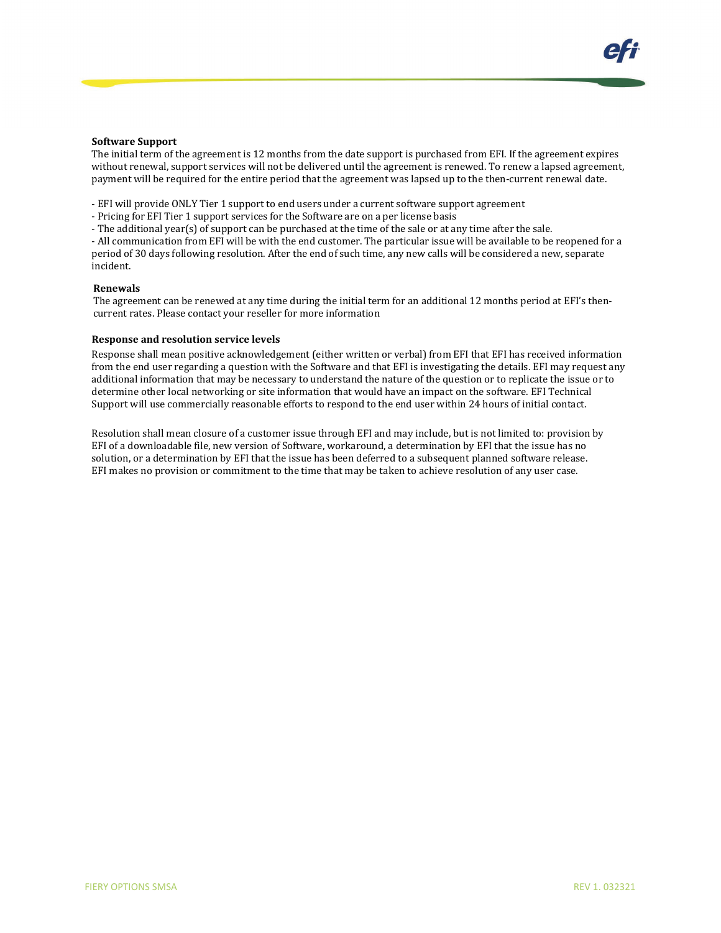#### **Software Support**

The initial term of the agreement is 12 months from the date support is purchased from EFI. If the agreement expires without renewal, support services will not be delivered until the agreement is renewed. To renew a lapsed agreement, payment will be required for the entire period that the agreement was lapsed up to the then-current renewal date.

- EFI will provide ONLY Tier 1 support to end users under a current software support agreement

- Pricing for EFI Tier 1 support services for the Software are on a per license basis

- The additional year(s) of support can be purchased at the time of the sale or at any time after the sale.

- All communication from EFI will be with the end customer. The particular issue will be available to be reopened for a period of 30 days following resolution. After the end of such time, any new calls will be considered a new, separate incident.

### **Renewals**

The agreement can be renewed at any time during the initial term for an additional 12 months period at EFI's thencurrent rates. Please contact your reseller for more information

#### **Response and resolution service levels**

Response shall mean positive acknowledgement (either written or verbal) from EFI that EFI has received information from the end user regarding a question with the Software and that EFI is investigating the details. EFI may request any additional information that may be necessary to understand the nature of the question or to replicate the issue or to determine other local networking or site information that would have an impact on the software. EFI Technical Support will use commercially reasonable efforts to respond to the end user within 24 hours of initial contact.

Resolution shall mean closure of a customer issue through EFI and may include, but is not limited to: provision by EFI of a downloadable file, new version of Software, workaround, a determination by EFI that the issue has no solution, or a determination by EFI that the issue has been deferred to a subsequent planned software release. EFI makes no provision or commitment to the time that may be taken to achieve resolution of any user case.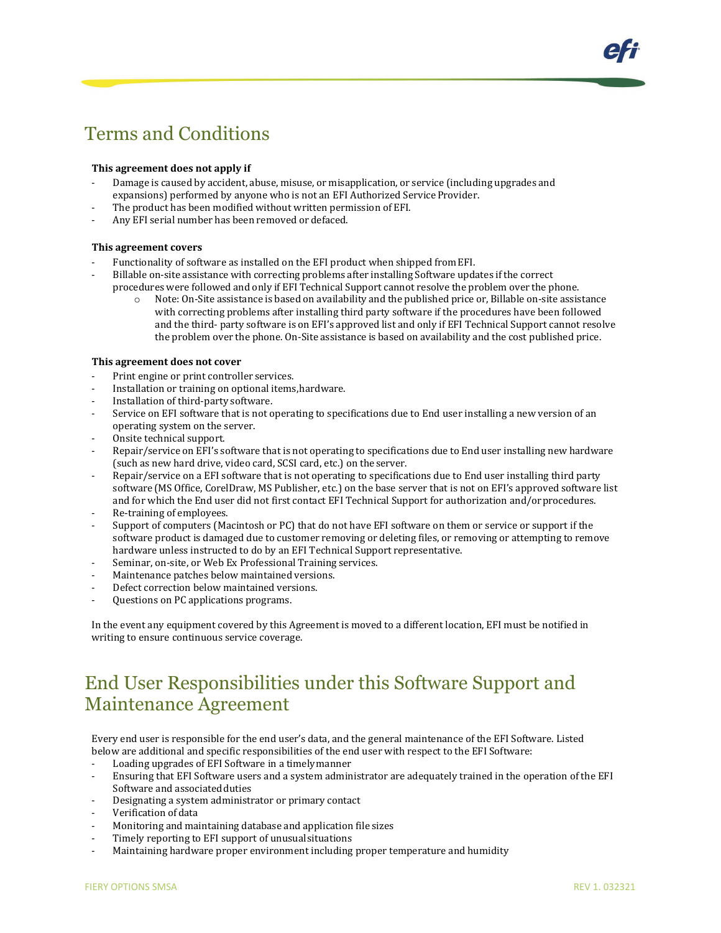# Terms and Conditions

## **This agreement does not apply if**

- Damage is caused by accident, abuse, misuse, or misapplication, or service (including upgrades and expansions) performed by anyone who is not an EFI Authorized Service Provider.
- The product has been modified without written permission of EFI.
- Any EFI serial number has been removed or defaced.

## **This agreement covers**

- Functionality of software as installed on the EFI product when shipped from EFI.
- Billable on-site assistance with correcting problems after installing Software updates if the correct procedures were followed and only if EFI Technical Support cannot resolve the problem over the phone.<br>  $\circ$  Note: On-Site assistance is based on availability and the published price or. Billable on-site assis
	- Note: On-Site assistance is based on availability and the published price or, Billable on-site assistance with correcting problems after installing third party software if the procedures have been followed and the third- party software is on EFI's approved list and only if EFI Technical Support cannot resolve the problem over the phone. On-Site assistance is based on availability and the cost published price.

### **This agreement does not cover**

- Print engine or print controller services.
- Installation or training on optional items, hardware.
- Installation of third-party software.
- Service on EFI software that is not operating to specifications due to End user installing a new version of an operating system on the server.
- Onsite technical support.
- Repair/service on EFI's software that is not operating to specifications due to End user installing new hardware (such as new hard drive, video card, SCSI card, etc.) on the server.
- Repair/service on a EFI software that is not operating to specifications due to End user installing third party software (MS Office, CorelDraw, MS Publisher, etc.) on the base server that is not on EFI's approved software list and for which the End user did not first contact EFI Technical Support for authorization and/orprocedures.
- Re-training of employees.
- Support of computers (Macintosh or PC) that do not have EFI software on them or service or support if the software product is damaged due to customer removing or deleting files, or removing or attempting to remove hardware unless instructed to do by an EFI Technical Support representative.
- Seminar, on-site, or Web Ex Professional Training services.
- Maintenance patches below maintained versions.
- Defect correction below maintained versions.
- Questions on PC applications programs.

In the event any equipment covered by this Agreement is moved to a different location, EFI must be notified in writing to ensure continuous service coverage.

## End User Responsibilities under this Software Support and Maintenance Agreement

Every end user is responsible for the end user's data, and the general maintenance of the EFI Software. Listed below are additional and specific responsibilities of the end user with respect to the EFI Software:

- Loading upgrades of EFI Software in a timelymanner
- Ensuring that EFI Software users and a system administrator are adequately trained in the operation of the EFI Software and associated duties
- Designating a system administrator or primary contact
- Verification of data
- Monitoring and maintaining database and application file sizes
- Timely reporting to EFI support of unusual situations
- Maintaining hardware proper environment including proper temperature and humidity